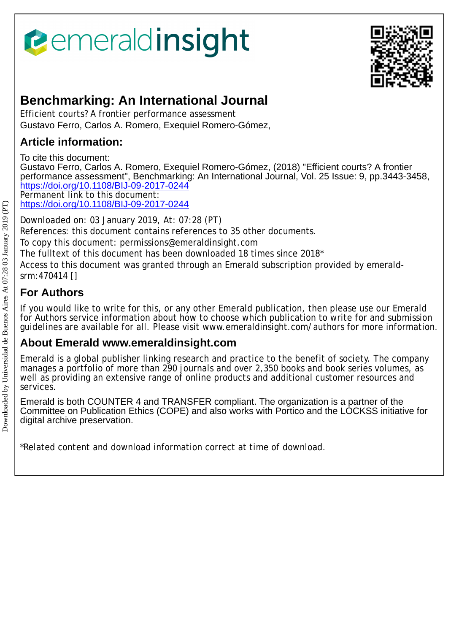# *<u><b>e*emeraldinsight</u>



## **Benchmarking: An International Journal**

Efficient courts? A frontier performance assessment Gustavo Ferro, Carlos A. Romero, Exequiel Romero-Gómez,

## **Article information:**

To cite this document:

Gustavo Ferro, Carlos A. Romero, Exequiel Romero-Gómez, (2018) "Efficient courts? A frontier performance assessment", Benchmarking: An International Journal, Vol. 25 Issue: 9, pp.3443-3458, <https://doi.org/10.1108/BIJ-09-2017-0244> Permanent link to this document:

<https://doi.org/10.1108/BIJ-09-2017-0244>

Downloaded on: 03 January 2019, At: 07:28 (PT) References: this document contains references to 35 other documents.

To copy this document: permissions@emeraldinsight.com

The fulltext of this document has been downloaded 18 times since 2018\*

Access to this document was granted through an Emerald subscription provided by emeraldsrm:470414 []

## **For Authors**

If you would like to write for this, or any other Emerald publication, then please use our Emerald for Authors service information about how to choose which publication to write for and submission guidelines are available for all. Please visit www.emeraldinsight.com/authors for more information.

### **About Emerald www.emeraldinsight.com**

Emerald is a global publisher linking research and practice to the benefit of society. The company manages a portfolio of more than 290 journals and over 2,350 books and book series volumes, as well as providing an extensive range of online products and additional customer resources and services.

Emerald is both COUNTER 4 and TRANSFER compliant. The organization is a partner of the Committee on Publication Ethics (COPE) and also works with Portico and the LOCKSS initiative for digital archive preservation.

\*Related content and download information correct at time of download.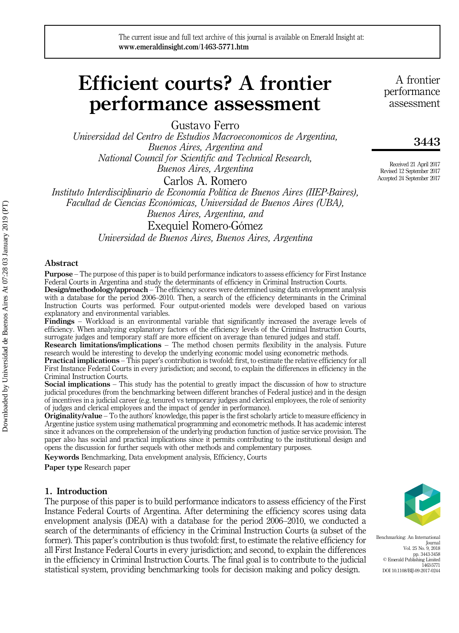## Efficient courts? A frontier performance assessment

Gustavo Ferro

Universidad del Centro de Estudios Macroeconomicos de Argentina, Buenos Aires, Argentina and National Council for Scientific and Technical Research, Buenos Aires, Argentina

Carlos A. Romero

Instituto Interdisciplinario de Economía Política de Buenos Aires (IIEP-Baires), Facultad de Ciencias Económicas, Universidad de Buenos Aires (UBA),

Buenos Aires, Argentina, and

Exequiel Romero-Gómez

Universidad de Buenos Aires, Buenos Aires, Argentina

#### Abstract

Purpose – The purpose of this paper is to build performance indicators to assess efficiency for First Instance Federal Courts in Argentina and study the determinants of efficiency in Criminal Instruction Courts.

Design/methodology/approach – The efficiency scores were determined using data envelopment analysis with a database for the period 2006–2010. Then, a search of the efficiency determinants in the Criminal Instruction Courts was performed. Four output-oriented models were developed based on various explanatory and environmental variables.

Findings – Workload is an environmental variable that significantly increased the average levels of efficiency. When analyzing explanatory factors of the efficiency levels of the Criminal Instruction Courts, surrogate judges and temporary staff are more efficient on average than tenured judges and staff.

Research limitations/implications – The method chosen permits flexibility in the analysis. Future research would be interesting to develop the underlying economic model using econometric methods.

Practical implications – This paper's contribution is twofold: first, to estimate the relative efficiency for all First Instance Federal Courts in every jurisdiction; and second, to explain the differences in efficiency in the Criminal Instruction Courts.

Social implications – This study has the potential to greatly impact the discussion of how to structure judicial procedures (from the benchmarking between different branches of Federal justice) and in the design of incentives in a judicial career (e.g. tenured vs temporary judges and clerical employees, the role of seniority of judges and clerical employees and the impact of gender in performance).

Originality/value – To the authors' knowledge, this paper is the first scholarly article to measure efficiency in Argentine justice system using mathematical programming and econometric methods. It has academic interest since it advances on the comprehension of the underlying production function of justice service provision. The paper also has social and practical implications since it permits contributing to the institutional design and opens the discussion for further sequels with other methods and complementary purposes.

Keywords Benchmarking, Data envelopment analysis, Efficiency, Courts

Paper type Research paper

#### 1. Introduction

The purpose of this paper is to build performance indicators to assess efficiency of the First Instance Federal Courts of Argentina. After determining the efficiency scores using data envelopment analysis (DEA) with a database for the period 2006–2010, we conducted a search of the determinants of efficiency in the Criminal Instruction Courts (a subset of the former). This paper's contribution is thus twofold: first, to estimate the relative efficiency for all First Instance Federal Courts in every jurisdiction; and second, to explain the differences in the efficiency in Criminal Instruction Courts. The final goal is to contribute to the judicial statistical system, providing benchmarking tools for decision making and policy design.



Benchmarking: An International Journal Vol. 25 No. 9, 2018 pp. 3443-3458 © Emerald Publishing Limited 1463-5771 DOI 10.1108/BIJ-09-2017-0244

Downloaded by Universidad de Buenos Aires At 07:28 03 January 2019 (PT) Downloaded by Universidad de Buenos Aires At 07:28 03 January 2019 (PT)

A frontier performance assessment

#### 3443

Received 21 April 2017 Revised 12 September 2017 Accepted 24 September 2017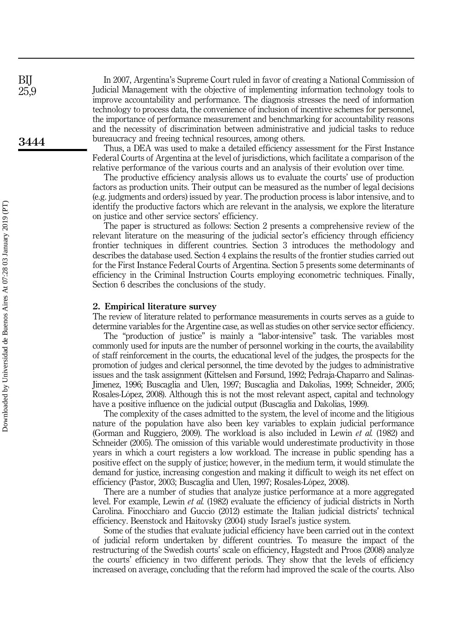In 2007, Argentina's Supreme Court ruled in favor of creating a National Commission of Judicial Management with the objective of implementing information technology tools to improve accountability and performance. The diagnosis stresses the need of information technology to process data, the convenience of inclusion of incentive schemes for personnel, the importance of performance measurement and benchmarking for accountability reasons and the necessity of discrimination between administrative and judicial tasks to reduce bureaucracy and freeing technical resources, among others.

Thus, a DEA was used to make a detailed efficiency assessment for the First Instance Federal Courts of Argentina at the level of jurisdictions, which facilitate a comparison of the relative performance of the various courts and an analysis of their evolution over time.

The productive efficiency analysis allows us to evaluate the courts' use of production factors as production units. Their output can be measured as the number of legal decisions (e.g. judgments and orders) issued by year. The production process is labor intensive, and to identify the productive factors which are relevant in the analysis, we explore the literature on justice and other service sectors' efficiency.

The paper is structured as follows: Section 2 presents a comprehensive review of the relevant literature on the measuring of the judicial sector's efficiency through efficiency frontier techniques in different countries. Section 3 introduces the methodology and describes the database used. Section 4 explains the results of the frontier studies carried out for the First Instance Federal Courts of Argentina. Section 5 presents some determinants of efficiency in the Criminal Instruction Courts employing econometric techniques. Finally, Section 6 describes the conclusions of the study.

#### 2. Empirical literature survey

The review of literature related to performance measurements in courts serves as a guide to determine variables for the Argentine case, as well as studies on other service sector efficiency.

The "production of justice" is mainly a "labor-intensive" task. The variables most commonly used for inputs are the number of personnel working in the courts, the availability of staff reinforcement in the courts, the educational level of the judges, the prospects for the promotion of judges and clerical personnel, the time devoted by the judges to administrative issues and the task assignment (Kittelsen and Førsund, 1992; Pedraja-Chaparro and Salinas-Jimenez, 1996; Buscaglia and Ulen, 1997; Buscaglia and Dakolias, 1999; Schneider, 2005; Rosales-López, 2008). Although this is not the most relevant aspect, capital and technology have a positive influence on the judicial output (Buscaglia and Dakolias, 1999).

The complexity of the cases admitted to the system, the level of income and the litigious nature of the population have also been key variables to explain judicial performance (Gorman and Ruggiero, 2009). The workload is also included in Lewin et al. (1982) and Schneider (2005). The omission of this variable would underestimate productivity in those years in which a court registers a low workload. The increase in public spending has a positive effect on the supply of justice; however, in the medium term, it would stimulate the demand for justice, increasing congestion and making it difficult to weigh its net effect on efficiency (Pastor, 2003; Buscaglia and Ulen, 1997; Rosales-López, 2008).

There are a number of studies that analyze justice performance at a more aggregated level. For example, Lewin et al. (1982) evaluate the efficiency of judicial districts in North Carolina. Finocchiaro and Guccio (2012) estimate the Italian judicial districts' technical efficiency. Beenstock and Haitovsky (2004) study Israel's justice system.

Some of the studies that evaluate judicial efficiency have been carried out in the context of judicial reform undertaken by different countries. To measure the impact of the restructuring of the Swedish courts' scale on efficiency, Hagstedt and Proos (2008) analyze the courts' efficiency in two different periods. They show that the levels of efficiency increased on average, concluding that the reform had improved the scale of the courts. Also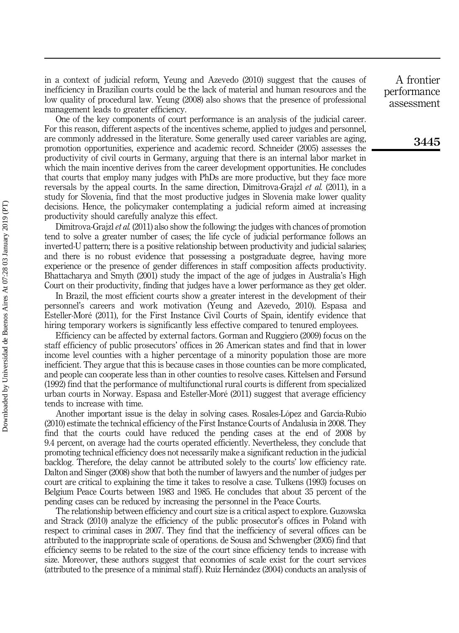in a context of judicial reform, Yeung and Azevedo (2010) suggest that the causes of inefficiency in Brazilian courts could be the lack of material and human resources and the low quality of procedural law. Yeung (2008) also shows that the presence of professional management leads to greater efficiency.

One of the key components of court performance is an analysis of the judicial career. For this reason, different aspects of the incentives scheme, applied to judges and personnel, are commonly addressed in the literature. Some generally used career variables are aging, promotion opportunities, experience and academic record. Schneider (2005) assesses the productivity of civil courts in Germany, arguing that there is an internal labor market in which the main incentive derives from the career development opportunities. He concludes that courts that employ many judges with PhDs are more productive, but they face more reversals by the appeal courts. In the same direction, Dimitrova-Grajzl et al. (2011), in a study for Slovenia, find that the most productive judges in Slovenia make lower quality decisions. Hence, the policymaker contemplating a judicial reform aimed at increasing productivity should carefully analyze this effect.

Dimitrova-Grajzl *et al.* (2011) also show the following: the judges with chances of promotion tend to solve a greater number of cases; the life cycle of judicial performance follows an inverted-U pattern; there is a positive relationship between productivity and judicial salaries; and there is no robust evidence that possessing a postgraduate degree, having more experience or the presence of gender differences in staff composition affects productivity. Bhattacharya and Smyth (2001) study the impact of the age of judges in Australia's High Court on their productivity, finding that judges have a lower performance as they get older.

In Brazil, the most efficient courts show a greater interest in the development of their personnel's careers and work motivation (Yeung and Azevedo, 2010). Espasa and Esteller-Moré (2011), for the First Instance Civil Courts of Spain, identify evidence that hiring temporary workers is significantly less effective compared to tenured employees.

Efficiency can be affected by external factors. Gorman and Ruggiero (2009) focus on the staff efficiency of public prosecutors' offices in 26 American states and find that in lower income level counties with a higher percentage of a minority population those are more inefficient. They argue that this is because cases in those counties can be more complicated, and people can cooperate less than in other counties to resolve cases. Kittelsen and Førsund (1992) find that the performance of multifunctional rural courts is different from specialized urban courts in Norway. Espasa and Esteller-Moré (2011) suggest that average efficiency tends to increase with time.

Another important issue is the delay in solving cases. Rosales-López and García-Rubio (2010) estimate the technical efficiency of the First Instance Courts of Andalusia in 2008. They find that the courts could have reduced the pending cases at the end of 2008 by 9.4 percent, on average had the courts operated efficiently. Nevertheless, they conclude that promoting technical efficiency does not necessarily make a significant reduction in the judicial backlog. Therefore, the delay cannot be attributed solely to the courts' low efficiency rate. Dalton and Singer (2008) show that both the number of lawyers and the number of judges per court are critical to explaining the time it takes to resolve a case. Tulkens (1993) focuses on Belgium Peace Courts between 1983 and 1985. He concludes that about 35 percent of the pending cases can be reduced by increasing the personnel in the Peace Courts.

The relationship between efficiency and court size is a critical aspect to explore. Guzowska and Strack (2010) analyze the efficiency of the public prosecutor's offices in Poland with respect to criminal cases in 2007. They find that the inefficiency of several offices can be attributed to the inappropriate scale of operations. de Sousa and Schwengber (2005) find that efficiency seems to be related to the size of the court since efficiency tends to increase with size. Moreover, these authors suggest that economies of scale exist for the court services (attributed to the presence of a minimal staff). Ruíz Hernández (2004) conducts an analysis of

A frontier performance assessment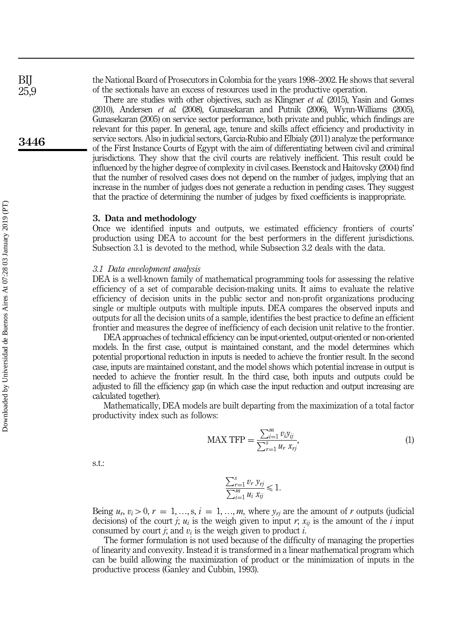the National Board of Prosecutors in Colombia for the years 1998–2002. He shows that several of the sectionals have an excess of resources used in the productive operation.

There are studies with other objectives, such as Klingner et al. (2015), Yasin and Gomes (2010), Andersen et al. (2008), Gunasekaran and Putnik (2006), Wynn-Williams (2005), Gunasekaran (2005) on service sector performance, both private and public, which findings are relevant for this paper. In general, age, tenure and skills affect efficiency and productivity in service sectors. Also in judicial sectors, García-Rubio and Elbialy (2011) analyze the performance of the First Instance Courts of Egypt with the aim of differentiating between civil and criminal jurisdictions. They show that the civil courts are relatively inefficient. This result could be influenced by the higher degree of complexity in civil cases. Beenstock and Haitovsky (2004) find that the number of resolved cases does not depend on the number of judges, implying that an increase in the number of judges does not generate a reduction in pending cases. They suggest that the practice of determining the number of judges by fixed coefficients is inappropriate.

#### 3. Data and methodology

Once we identified inputs and outputs, we estimated efficiency frontiers of courts' production using DEA to account for the best performers in the different jurisdictions. Subsection 3.1 is devoted to the method, while Subsection 3.2 deals with the data.

#### 3.1 Data envelopment analysis

DEA is a well-known family of mathematical programming tools for assessing the relative efficiency of a set of comparable decision-making units. It aims to evaluate the relative efficiency of decision units in the public sector and non-profit organizations producing single or multiple outputs with multiple inputs. DEA compares the observed inputs and outputs for all the decision units of a sample, identifies the best practice to define an efficient frontier and measures the degree of inefficiency of each decision unit relative to the frontier.

DEA approaches of technical efficiency can be input-oriented, output-oriented or non-oriented models. In the first case, output is maintained constant, and the model determines which potential proportional reduction in inputs is needed to achieve the frontier result. In the second case, inputs are maintained constant, and the model shows which potential increase in output is needed to achieve the frontier result. In the third case, both inputs and outputs could be adjusted to fill the efficiency gap (in which case the input reduction and output increasing are calculated together).

Mathematically, DEA models are built departing from the maximization of a total factor productivity index such as follows:

MAX TFP = 
$$
\frac{\sum_{i=1}^{m} v_i y_{ij}}{\sum_{r=1}^{s} u_r x_{rj}},
$$
 (1)

s.t.:

$$
\frac{\sum_{r=1}^{s} v_r y_{rj}}{\sum_{i=1}^{m} u_i x_{ij}} \leq 1.
$$

Being  $u_r, v_i > 0, r = 1, ..., s, i = 1, ..., m$ , where  $y_{ri}$  are the amount of r outputs (judicial decisions) of the court j;  $u_i$  is the weigh given to input r;  $x_{ij}$  is the amount of the i input consumed by court *j*; and  $v_i$  is the weigh given to product *i*.

The former formulation is not used because of the difficulty of managing the properties of linearity and convexity. Instead it is transformed in a linear mathematical program which can be build allowing the maximization of product or the minimization of inputs in the productive process (Ganley and Cubbin, 1993).

3446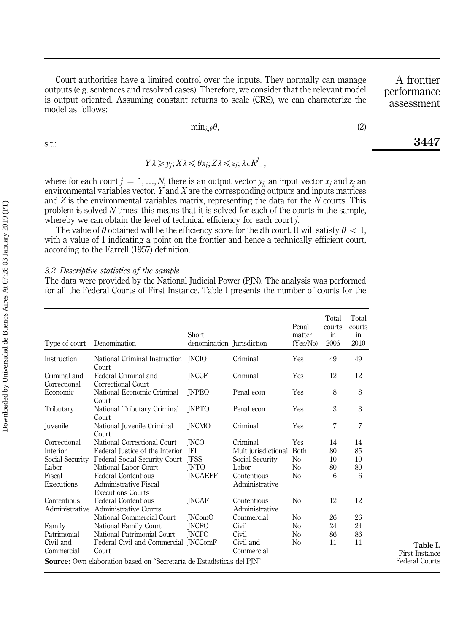Court authorities have a limited control over the inputs. They normally can manage outputs (e.g. sentences and resolved cases). Therefore, we consider that the relevant model is output oriented. Assuming constant returns to scale (CRS), we can characterize the model as follows:

$$
\min_{\lambda,\theta}\theta,\tag{2}
$$

s.t.:

$$
Y\lambda \geqslant y_j; X\lambda \leqslant \theta x_j; Z\lambda \leqslant z_j; \lambda \epsilon R^J_+,
$$

where for each court  $j = 1, ..., N$ , there is an output vector  $y_i$  an input vector  $x_i$  and  $z_i$  and environmental variables vector.  $Y$  and  $X$  are the corresponding outputs and inputs matrices and  $Z$  is the environmental variables matrix, representing the data for the  $N$  courts. This problem is solved  $N$  times: this means that it is solved for each of the courts in the sample, whereby we can obtain the level of technical efficiency for each court  $j$ .

The value of  $\theta$  obtained will be the efficiency score for the *i*th court. It will satisfy  $\theta$  < 1, with a value of 1 indicating a point on the frontier and hence a technically efficient court, according to the Farrell (1957) definition.

#### 3.2 Descriptive statistics of the sample

The data were provided by the National Judicial Power (PJN). The analysis was performed for all the Federal Courts of First Instance. Table I presents the number of courts for the

| Type of court                 | Denomination                                                             | <b>Short</b><br>denomination Jurisdiction |                               | Penal<br>matter<br>(Yes/No) | Total<br>courts<br>in<br>2006 | Total<br>courts<br>in<br>2010 |
|-------------------------------|--------------------------------------------------------------------------|-------------------------------------------|-------------------------------|-----------------------------|-------------------------------|-------------------------------|
| Instruction                   | National Criminal Instruction INCIO                                      |                                           | Criminal                      | Yes                         | 49                            | 49                            |
| Criminal and                  | Court<br>Federal Criminal and                                            | <b>INCCF</b>                              | Criminal                      | Yes                         | 12                            | 12                            |
| Correctional<br>Economic      | Correctional Court<br>National Economic Criminal<br>Court                | <b>INPEO</b>                              | Penal econ                    | Yes                         | 8                             | 8                             |
| Tributary                     | National Tributary Criminal<br>Contr                                     | <b>INPTO</b>                              | Penal econ                    | Yes                         | 3                             | 3                             |
| Juvenile                      | National Juvenile Criminal<br>Court                                      | <b>INCMO</b>                              | Criminal                      | Yes                         | 7                             | $\overline{7}$                |
| Correctional                  | National Correctional Court                                              | <b>INCO</b>                               | Criminal                      | Yes                         | 14                            | 14                            |
| Interior                      | Federal Justice of the Interior                                          | ΙFΙ                                       | Multijurisdictional Both      |                             | 80                            | 85                            |
| Social Security               | Federal Social Security Court                                            | <b>IFSS</b>                               | Social Security               | N <sub>o</sub>              | 10                            | 10                            |
| Labor                         | National Labor Court                                                     | <b>INTO</b>                               | Labor                         | N <sub>0</sub>              | 80                            | 80                            |
| Fiscal<br>Executions          | Federal Contentious<br>Administrative Fiscal<br><b>Executions Courts</b> | <b>INCAEFF</b>                            | Contentious<br>Administrative | N <sub>0</sub>              | 6                             | 6                             |
| Contentious<br>Administrative | <b>Federal Contentious</b><br>Administrative Courts                      | <b>INCAF</b>                              | Contentious<br>Administrative | N <sub>0</sub>              | 12                            | 12                            |
|                               | National Commercial Court                                                | <b>INComO</b>                             | Commercial                    | N <sub>0</sub>              | 26                            | 26                            |
| Family                        | National Family Court                                                    | <b>INCFO</b>                              | Civil                         | N <sub>0</sub>              | 24                            | 24                            |
| Patrimonial                   | National Patrimonial Court                                               | <b>INCPO</b>                              | Civil                         | No                          | 86                            | 86                            |
| Civil and<br>Commercial       | Federal Civil and Commercial<br>Court                                    | <b>INCComF</b>                            | Civil and<br>Commercial       | N <sub>0</sub>              | 11                            | 11                            |
|                               | Source: Own elaboration based on "Secretaría de Estadísticas del PJN"    |                                           |                               |                             |                               |                               |

A frontier performance assessment

Table I. First Instance Federal Courts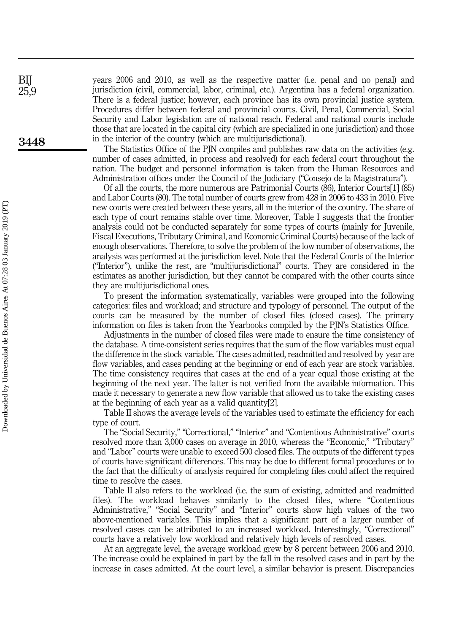years 2006 and 2010, as well as the respective matter (i.e. penal and no penal) and jurisdiction (civil, commercial, labor, criminal, etc.). Argentina has a federal organization. There is a federal justice; however, each province has its own provincial justice system. Procedures differ between federal and provincial courts. Civil, Penal, Commercial, Social Security and Labor legislation are of national reach. Federal and national courts include those that are located in the capital city (which are specialized in one jurisdiction) and those in the interior of the country (which are multijurisdictional).

The Statistics Office of the PJN compiles and publishes raw data on the activities (e.g. number of cases admitted, in process and resolved) for each federal court throughout the nation. The budget and personnel information is taken from the Human Resources and Administration offices under the Council of the Judiciary ("Consejo de la Magistratura").

Of all the courts, the more numerous are Patrimonial Courts (86), Interior Courts[1] (85) and Labor Courts (80). The total number of courts grew from 428 in 2006 to 433 in 2010. Five new courts were created between these years, all in the interior of the country. The share of each type of court remains stable over time. Moreover, Table I suggests that the frontier analysis could not be conducted separately for some types of courts (mainly for Juvenile, Fiscal Executions, Tributary Criminal, and Economic Criminal Courts) because of the lack of enough observations. Therefore, to solve the problem of the low number of observations, the analysis was performed at the jurisdiction level. Note that the Federal Courts of the Interior ("Interior"), unlike the rest, are "multijurisdictional" courts. They are considered in the estimates as another jurisdiction, but they cannot be compared with the other courts since they are multijurisdictional ones.

To present the information systematically, variables were grouped into the following categories: files and workload; and structure and typology of personnel. The output of the courts can be measured by the number of closed files (closed cases). The primary information on files is taken from the Yearbooks compiled by the PJN's Statistics Office.

Adjustments in the number of closed files were made to ensure the time consistency of the database. A time-consistent series requires that the sum of the flow variables must equal the difference in the stock variable. The cases admitted, readmitted and resolved by year are flow variables, and cases pending at the beginning or end of each year are stock variables. The time consistency requires that cases at the end of a year equal those existing at the beginning of the next year. The latter is not verified from the available information. This made it necessary to generate a new flow variable that allowed us to take the existing cases at the beginning of each year as a valid quantity[2].

Table II shows the average levels of the variables used to estimate the efficiency for each type of court.

The "Social Security," "Correctional," "Interior" and "Contentious Administrative" courts resolved more than 3,000 cases on average in 2010, whereas the "Economic," "Tributary" and "Labor" courts were unable to exceed 500 closed files. The outputs of the different types of courts have significant differences. This may be due to different formal procedures or to the fact that the difficulty of analysis required for completing files could affect the required time to resolve the cases.

Table II also refers to the workload (i.e. the sum of existing, admitted and readmitted files). The workload behaves similarly to the closed files, where "Contentious Administrative," "Social Security" and "Interior" courts show high values of the two above-mentioned variables. This implies that a significant part of a larger number of resolved cases can be attributed to an increased workload. Interestingly, "Correctional" courts have a relatively low workload and relatively high levels of resolved cases.

At an aggregate level, the average workload grew by 8 percent between 2006 and 2010. The increase could be explained in part by the fall in the resolved cases and in part by the increase in cases admitted. At the court level, a similar behavior is present. Discrepancies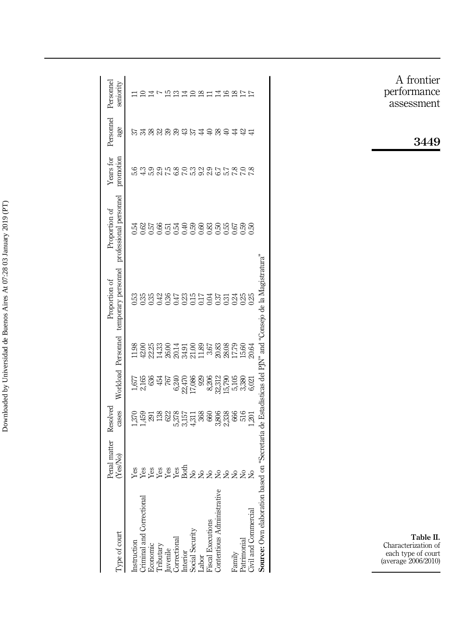|                                                                                                           | Penal matter                  | Resolvec                             |                    |                                               | Proportion or                     | Proportion of             | Years for             | Personnel    | Personne |
|-----------------------------------------------------------------------------------------------------------|-------------------------------|--------------------------------------|--------------------|-----------------------------------------------|-----------------------------------|---------------------------|-----------------------|--------------|----------|
| Type of court                                                                                             | <b>Tes/No</b>                 | cases                                | Workload Personnel |                                               | temporary personne                | professional personnel    | promotion             | age          | semornty |
| Instruction<br>Criminal and Correctional                                                                  |                               |                                      |                    |                                               |                                   | .54                       |                       |              |          |
|                                                                                                           | es ses ses de 2222<br>DRAPHAS | ន្តធ្                                | <b>671</b><br>036  | 8<br>888833458858886688<br>198148834513888558 | s 3 3 3 3 5 3 5 5 5 6 5 5 8 9 9 9 | $\frac{62}{57}$           |                       |              |          |
|                                                                                                           |                               |                                      |                    |                                               |                                   |                           |                       |              |          |
|                                                                                                           |                               | 138                                  |                    |                                               |                                   | 66                        |                       |              |          |
|                                                                                                           |                               |                                      |                    |                                               |                                   |                           |                       |              |          |
|                                                                                                           |                               |                                      |                    |                                               |                                   |                           | 83                    |              |          |
| Economic<br>Tributary<br>Juvenile<br>Correctional<br>Correctional<br>Interior<br>Social Security<br>Labor |                               |                                      |                    |                                               |                                   |                           | $\tilde{\sim}$        |              |          |
|                                                                                                           |                               |                                      |                    |                                               |                                   |                           | 53                    |              |          |
|                                                                                                           |                               |                                      |                    |                                               |                                   |                           |                       |              |          |
| <b>Fiscal Executions</b>                                                                                  |                               | 622<br>53751138666888<br>53438668888 |                    |                                               |                                   | 12248688666<br>1224866886 | 9.29<br>2.9           | 보兴兴양양ホだキ8136 |          |
| Contentious Administrative                                                                                |                               |                                      |                    |                                               |                                   |                           | 57                    |              |          |
|                                                                                                           |                               |                                      |                    |                                               |                                   |                           | 57                    |              |          |
|                                                                                                           |                               | $rac{66}{516}$                       |                    |                                               |                                   |                           | 7.8                   |              |          |
|                                                                                                           |                               |                                      |                    |                                               |                                   | 959                       | $\tilde{\varepsilon}$ | 잎            |          |
| Family<br>Patrimonial<br>Civil and Commercial                                                             |                               | ,201                                 |                    |                                               |                                   | 50                        | 7.8                   |              |          |
| Source: Own elaboration                                                                                   |                               | de Hstac                             | districas del      | .<br>and                                      | onsejo de la Magist               |                           |                       |              |          |
|                                                                                                           |                               |                                      |                    |                                               |                                   |                           |                       |              |          |

A frontier performance assessment

Table II. Characterization of each type of court (average 2006/2010)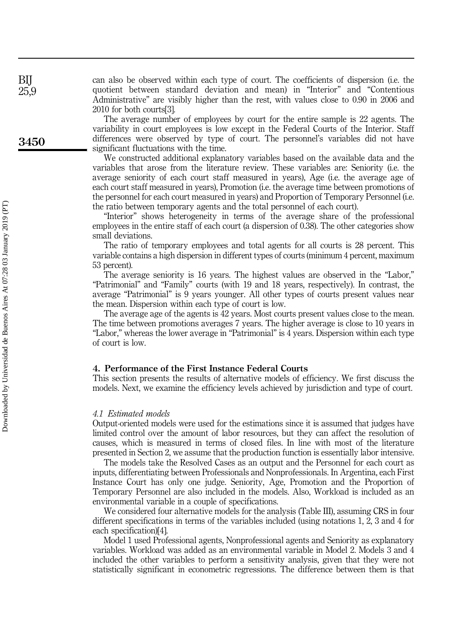can also be observed within each type of court. The coefficients of dispersion (i.e. the quotient between standard deviation and mean) in "Interior" and "Contentious Administrative" are visibly higher than the rest, with values close to 0.90 in 2006 and 2010 for both courts[3].

The average number of employees by court for the entire sample is 22 agents. The variability in court employees is low except in the Federal Courts of the Interior. Staff differences were observed by type of court. The personnel's variables did not have significant fluctuations with the time.

We constructed additional explanatory variables based on the available data and the variables that arose from the literature review. These variables are: Seniority (i.e. the average seniority of each court staff measured in years), Age (i.e. the average age of each court staff measured in years), Promotion (i.e. the average time between promotions of the personnel for each court measured in years) and Proportion of Temporary Personnel (i.e. the ratio between temporary agents and the total personnel of each court).

"Interior" shows heterogeneity in terms of the average share of the professional employees in the entire staff of each court (a dispersion of 0.38). The other categories show small deviations.

The ratio of temporary employees and total agents for all courts is 28 percent. This variable contains a high dispersion in different types of courts (minimum 4 percent, maximum 53 percent).

The average seniority is 16 years. The highest values are observed in the "Labor," "Patrimonial" and "Family" courts (with 19 and 18 years, respectively). In contrast, the average "Patrimonial" is 9 years younger. All other types of courts present values near the mean. Dispersion within each type of court is low.

The average age of the agents is 42 years. Most courts present values close to the mean. The time between promotions averages 7 years. The higher average is close to 10 years in "Labor," whereas the lower average in "Patrimonial" is 4 years. Dispersion within each type of court is low.

#### 4. Performance of the First Instance Federal Courts

This section presents the results of alternative models of efficiency. We first discuss the models. Next, we examine the efficiency levels achieved by jurisdiction and type of court.

#### 4.1 Estimated models

Output-oriented models were used for the estimations since it is assumed that judges have limited control over the amount of labor resources, but they can affect the resolution of causes, which is measured in terms of closed files. In line with most of the literature presented in Section 2, we assume that the production function is essentially labor intensive.

The models take the Resolved Cases as an output and the Personnel for each court as inputs, differentiating between Professionals and Nonprofessionals. In Argentina, each First Instance Court has only one judge. Seniority, Age, Promotion and the Proportion of Temporary Personnel are also included in the models. Also, Workload is included as an environmental variable in a couple of specifications.

We considered four alternative models for the analysis (Table III), assuming CRS in four different specifications in terms of the variables included (using notations 1, 2, 3 and 4 for each specification)[4].

Model 1 used Professional agents, Nonprofessional agents and Seniority as explanatory variables. Workload was added as an environmental variable in Model 2. Models 3 and 4 included the other variables to perform a sensitivity analysis, given that they were not statistically significant in econometric regressions. The difference between them is that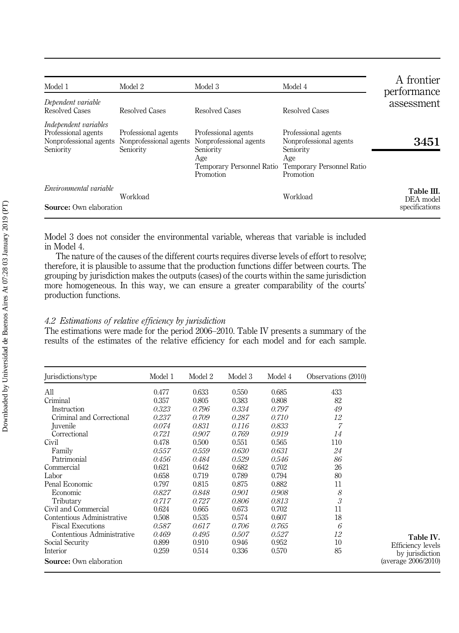| Model 1                                                                             | Model 2                                                    | Model 3                                                                                                     | Model 4                                                                                                     | A frontier<br>performance                 |
|-------------------------------------------------------------------------------------|------------------------------------------------------------|-------------------------------------------------------------------------------------------------------------|-------------------------------------------------------------------------------------------------------------|-------------------------------------------|
| Dependent variable<br><b>Resolved Cases</b>                                         | Resolved Cases                                             | Resolved Cases                                                                                              | Resolved Cases                                                                                              | assessment                                |
| Independent variables<br>Professional agents<br>Nonprofessional agents<br>Seniority | Professional agents<br>Nonprofessional agents<br>Seniority | Professional agents<br>Nonprofessional agents<br>Seniority<br>Age<br>Temporary Personnel Ratio<br>Promotion | Professional agents<br>Nonprofessional agents<br>Seniority<br>Age<br>Temporary Personnel Ratio<br>Promotion | 3451                                      |
| Environmental variable<br><b>Source:</b> Own elaboration                            | Workload                                                   |                                                                                                             | Workload                                                                                                    | Table III.<br>DEA model<br>specifications |

Model 3 does not consider the environmental variable, whereas that variable is included in Model 4.

The nature of the causes of the different courts requires diverse levels of effort to resolve; therefore, it is plausible to assume that the production functions differ between courts. The grouping by jurisdiction makes the outputs (cases) of the courts within the same jurisdiction more homogeneous. In this way, we can ensure a greater comparability of the courts' production functions.

#### 4.2 Estimations of relative efficiency by jurisdiction

The estimations were made for the period 2006–2010. Table IV presents a summary of the results of the estimates of the relative efficiency for each model and for each sample.

| Jurisdictions/type             | Model 1 | Model 2 | Model 3 | Model 4 | Observations (2010) |                          |
|--------------------------------|---------|---------|---------|---------|---------------------|--------------------------|
| All                            | 0.477   | 0.633   | 0.550   | 0.685   | 433                 |                          |
| Criminal                       | 0.357   | 0.805   | 0.383   | 0.808   | 82                  |                          |
| Instruction                    | 0.323   | 0.796   | 0.334   | 0.797   | 49                  |                          |
| Criminal and Correctional      | 0.237   | 0.709   | 0.287   | 0.710   | 12                  |                          |
| Juvenile                       | 0.074   | 0.831   | 0.116   | 0.833   | 7                   |                          |
| Correctional                   | 0.721   | 0.907   | 0.769   | 0.919   | 14                  |                          |
| Civil                          | 0.478   | 0.500   | 0.551   | 0.565   | 110                 |                          |
| Family                         | 0.557   | 0.559   | 0.630   | 0.631   | 24                  |                          |
| Patrimonial                    | 0.456   | 0.484   | 0.529   | 0.546   | 86                  |                          |
| Commercial                     | 0.621   | 0.642   | 0.682   | 0.702   | 26                  |                          |
| Labor                          | 0.658   | 0.719   | 0.789   | 0.794   | 80                  |                          |
| Penal Economic                 | 0.797   | 0.815   | 0.875   | 0.882   | 11                  |                          |
| Economic                       | 0.827   | 0.848   | 0.901   | 0.908   | 8                   |                          |
| Tributary                      | 0.717   | 0.727   | 0.806   | 0.813   | 3                   |                          |
| Civil and Commercial           | 0.624   | 0.665   | 0.673   | 0.702   | 11                  |                          |
| Contentious Administrative     | 0.508   | 0.535   | 0.574   | 0.607   | 18                  |                          |
| <b>Fiscal Executions</b>       | 0.587   | 0.617   | 0.706   | 0.765   | 6                   |                          |
| Contentious Administrative     | 0.469   | 0.495   | 0.507   | 0.527   | 12                  | Table IV.                |
| Social Security                | 0.899   | 0.910   | 0.946   | 0.952   | 10                  | <b>Efficiency</b> levels |
| Interior                       | 0.259   | 0.514   | 0.336   | 0.570   | 85                  | by jurisdiction          |
| <b>Source:</b> Own elaboration |         |         |         |         |                     | (average 2006/2010)      |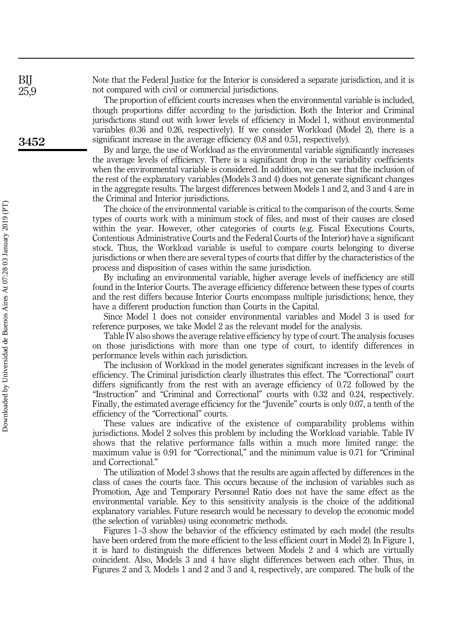Note that the Federal Justice for the Interior is considered a separate jurisdiction, and it is not compared with civil or commercial jurisdictions.

The proportion of efficient courts increases when the environmental variable is included, though proportions differ according to the jurisdiction. Both the Interior and Criminal jurisdictions stand out with lower levels of efficiency in Model 1, without environmental variables (0.36 and 0.26, respectively). If we consider Workload (Model 2), there is a significant increase in the average efficiency (0.8 and 0.51, respectively).

By and large, the use of Workload as the environmental variable significantly increases the average levels of efficiency. There is a significant drop in the variability coefficients when the environmental variable is considered. In addition, we can see that the inclusion of the rest of the explanatory variables (Models 3 and 4) does not generate significant changes in the aggregate results. The largest differences between Models 1 and 2, and 3 and 4 are in the Criminal and Interior jurisdictions.

The choice of the environmental variable is critical to the comparison of the courts. Some types of courts work with a minimum stock of files, and most of their causes are closed within the year. However, other categories of courts (e.g. Fiscal Executions Courts, Contentious Administrative Courts and the Federal Courts of the Interior) have a significant stock. Thus, the Workload variable is useful to compare courts belonging to diverse jurisdictions or when there are several types of courts that differ by the characteristics of the process and disposition of cases within the same jurisdiction.

By including an environmental variable, higher average levels of inefficiency are still found in the Interior Courts. The average efficiency difference between these types of courts and the rest differs because Interior Courts encompass multiple jurisdictions; hence, they have a different production function than Courts in the Capital.

Since Model 1 does not consider environmental variables and Model 3 is used for reference purposes, we take Model 2 as the relevant model for the analysis.

Table IV also shows the average relative efficiency by type of court. The analysis focuses on those jurisdictions with more than one type of court, to identify differences in performance levels within each jurisdiction.

The inclusion of Workload in the model generates significant increases in the levels of efficiency. The Criminal jurisdiction clearly illustrates this effect. The "Correctional" court differs significantly from the rest with an average efficiency of 0.72 followed by the "Instruction" and "Criminal and Correctional" courts with 0.32 and 0.24, respectively. Finally, the estimated average efficiency for the "Juvenile" courts is only 0.07, a tenth of the efficiency of the "Correctional" courts.

These values are indicative of the existence of comparability problems within jurisdictions. Model 2 solves this problem by including the Workload variable. Table IV shows that the relative performance falls within a much more limited range: the maximum value is 0.91 for "Correctional," and the minimum value is 0.71 for "Criminal and Correctional."

The utilization of Model 3 shows that the results are again affected by differences in the class of cases the courts face. This occurs because of the inclusion of variables such as Promotion, Age and Temporary Personnel Ratio does not have the same effect as the environmental variable. Key to this sensitivity analysis is the choice of the additional explanatory variables. Future research would be necessary to develop the economic model (the selection of variables) using econometric methods.

Figures 1–3 show the behavior of the efficiency estimated by each model (the results have been ordered from the more efficient to the less efficient court in Model 2). In Figure 1, it is hard to distinguish the differences between Models 2 and 4 which are virtually coincident. Also, Models 3 and 4 have slight differences between each other. Thus, in Figures 2 and 3, Models 1 and 2 and 3 and 4, respectively, are compared. The bulk of the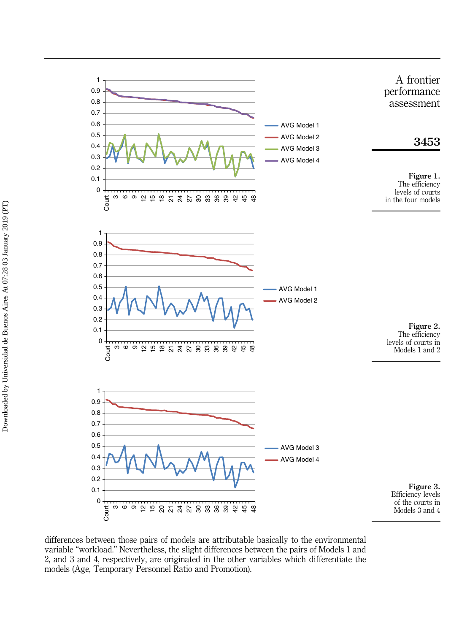

differences between those pairs of models are attributable basically to the environmental variable "workload." Nevertheless, the slight differences between the pairs of Models 1 and 2, and 3 and 4, respectively, are originated in the other variables which differentiate the models (Age, Temporary Personnel Ratio and Promotion).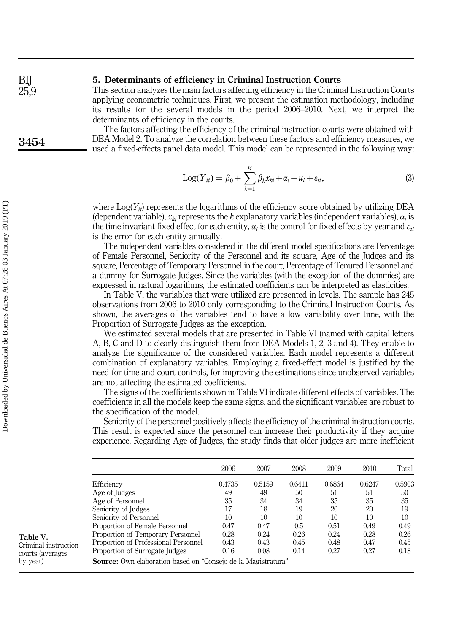3454

#### 5. Determinants of efficiency in Criminal Instruction Courts

This section analyzes the main factors affecting efficiency in the Criminal Instruction Courts applying econometric techniques. First, we present the estimation methodology, including its results for the several models in the period 2006–2010. Next, we interpret the determinants of efficiency in the courts.

The factors affecting the efficiency of the criminal instruction courts were obtained with DEA Model 2. To analyze the correlation between these factors and efficiency measures, we used a fixed-effects panel data model. This model can be represented in the following way:

$$
Log(Y_{it}) = \beta_0 + \sum_{k=1}^{K} \beta_k x_{ki} + \alpha_i + u_t + \varepsilon_{it},
$$
\n(3)

where  $Log(Y_{it})$  represents the logarithms of the efficiency score obtained by utilizing DEA (dependent variable),  $x_{ki}$  represents the k explanatory variables (independent variables),  $\alpha_i$  is the time invariant fixed effect for each entity,  $u_t$  is the control for fixed effects by year and  $\varepsilon_{it}$ is the error for each entity annually.

The independent variables considered in the different model specifications are Percentage of Female Personnel, Seniority of the Personnel and its square, Age of the Judges and its square, Percentage of Temporary Personnel in the court, Percentage of Tenured Personnel and a dummy for Surrogate Judges. Since the variables (with the exception of the dummies) are expressed in natural logarithms, the estimated coefficients can be interpreted as elasticities.

In Table V, the variables that were utilized are presented in levels. The sample has 245 observations from 2006 to 2010 only corresponding to the Criminal Instruction Courts. As shown, the averages of the variables tend to have a low variability over time, with the Proportion of Surrogate Judges as the exception.

We estimated several models that are presented in Table VI (named with capital letters A, B, C and D to clearly distinguish them from DEA Models 1, 2, 3 and 4). They enable to analyze the significance of the considered variables. Each model represents a different combination of explanatory variables. Employing a fixed-effect model is justified by the need for time and court controls, for improving the estimations since unobserved variables are not affecting the estimated coefficients.

The signs of the coefficients shown in Table VI indicate different effects of variables. The coefficients in all the models keep the same signs, and the significant variables are robust to the specification of the model.

Seniority of the personnel positively affects the efficiency of the criminal instruction courts. This result is expected since the personnel can increase their productivity if they acquire experience. Regarding Age of Judges, the study finds that older judges are more inefficient

|                                      | 2006   | 2007   | 2008   | 2009   | 2010   | Total  |
|--------------------------------------|--------|--------|--------|--------|--------|--------|
| Efficiency                           | 0.4735 | 0.5159 | 0.6411 | 0.6864 | 0.6247 | 0.5903 |
| Age of Judges                        | 49     | 49     | 50     | 51     | 51     | 50     |
| Age of Personnel                     | 35     | 34     | 34     | 35     | 35     | 35     |
| Seniority of Judges                  | 17     | 18     | 19     | 20     | 20     | 19     |
| Seniority of Personnel               | 10     | 10     | 10     | 10     | 10     | 10     |
| Proportion of Female Personnel       | 0.47   | 0.47   | 0.5    | 0.51   | 0.49   | 0.49   |
| Proportion of Temporary Personnel    | 0.28   | 0.24   | 0.26   | 0.24   | 0.28   | 0.26   |
| Proportion of Professional Personnel | 0.43   | 0.43   | 0.45   | 0.48   | 0.47   | 0.45   |
| Proportion of Surrogate Judges       | 0.16   | 0.08   | 0.14   | 0.27   | 0.27   | 0.18   |

Downloaded by Universidad de Buenos Aires At 07:28 03 January 2019 (PT) Downloaded by Universidad de Buenos Aires At 07:28 03 January 2019 (PT)

Table V. Criminal instruction courts (averages by year)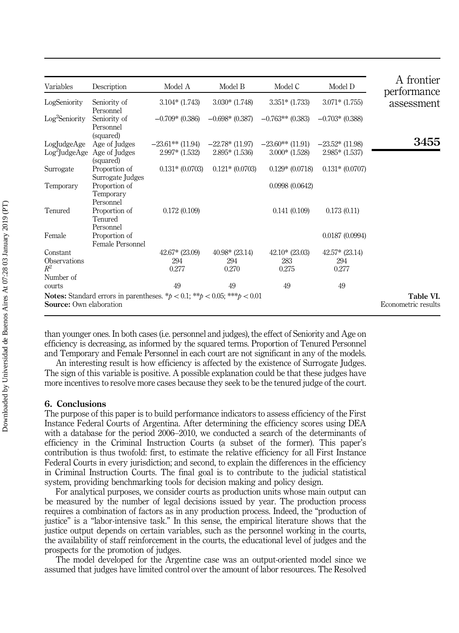| Variables                                             | Description                                                                                | Model A                          | Model B                          | Model C                         | Model D                          | A frontier<br>performance        |
|-------------------------------------------------------|--------------------------------------------------------------------------------------------|----------------------------------|----------------------------------|---------------------------------|----------------------------------|----------------------------------|
| LogSeniority                                          | Seniority of<br>Personnel                                                                  | $3.104*(1.743)$                  | $3.030*$ (1.748)                 | $3.351*$ (1.733)                | $3.071*$ (1.755)                 | assessment                       |
| Log <sup>2</sup> Seniority                            | Seniority of<br>Personnel                                                                  | $-0.709*$ (0.386)                | $-0.698*$ (0.387)                | $-0.763**$ (0.383)              | $-0.703*$ (0.388)                |                                  |
| LogJudgeAge                                           | (squared)<br>Age of Judges                                                                 | $-23.61**$ (11.94)               | $-22.78*(11.97)$                 | $-23.60**$ (11.91)              | $-23.52*(11.98)$                 | 3455                             |
|                                                       | Log <sup>2</sup> JudgeAge Age of Judges<br>(squared)                                       | $2.997*$ (1.532)                 | $2.895*$ (1.536)                 | $3.000*$ (1.528)                | $2.985*$ (1.537)                 |                                  |
| Surrogate                                             | Proportion of<br>Surrogate Judges                                                          | $0.131* (0.0703)$                | $0.121*(0.0703)$                 | $0.129*(0.0718)$                | $0.131* (0.0707)$                |                                  |
| Temporary                                             | Proportion of<br>Temporary<br>Personnel                                                    |                                  |                                  | 0.0998(0.0642)                  |                                  |                                  |
| Tenured                                               | Proportion of<br>Tenured<br>Personnel                                                      | 0.172(0.109)                     |                                  | 0.141(0.109)                    | 0.173(0.11)                      |                                  |
| Female                                                | Proportion of<br>Female Personnel                                                          |                                  |                                  |                                 | 0.0187(0.0994)                   |                                  |
| Constant<br><b>Observations</b><br>$R^2$<br>Number of |                                                                                            | $42.67*$ (23.09)<br>294<br>0.277 | $40.98* (23.14)$<br>294<br>0.270 | $42.10*(23.03)$<br>283<br>0.275 | $42.57*$ (23.14)<br>294<br>0.277 |                                  |
| courts                                                |                                                                                            | 49                               | 49                               | 49                              | 49                               |                                  |
| <b>Source:</b> Own elaboration                        | <b>Notes:</b> Standard errors in parentheses. * $p < 0.1$ ; ** $p < 0.05$ ; *** $p < 0.01$ |                                  |                                  |                                 |                                  | Table VI.<br>Econometric results |

than younger ones. In both cases (i.e. personnel and judges), the effect of Seniority and Age on efficiency is decreasing, as informed by the squared terms. Proportion of Tenured Personnel and Temporary and Female Personnel in each court are not significant in any of the models.

An interesting result is how efficiency is affected by the existence of Surrogate Judges. The sign of this variable is positive. A possible explanation could be that these judges have more incentives to resolve more cases because they seek to be the tenured judge of the court.

#### 6. Conclusions

The purpose of this paper is to build performance indicators to assess efficiency of the First Instance Federal Courts of Argentina. After determining the efficiency scores using DEA with a database for the period 2006–2010, we conducted a search of the determinants of efficiency in the Criminal Instruction Courts (a subset of the former). This paper's contribution is thus twofold: first, to estimate the relative efficiency for all First Instance Federal Courts in every jurisdiction; and second, to explain the differences in the efficiency in Criminal Instruction Courts. The final goal is to contribute to the judicial statistical system, providing benchmarking tools for decision making and policy design.

For analytical purposes, we consider courts as production units whose main output can be measured by the number of legal decisions issued by year. The production process requires a combination of factors as in any production process. Indeed, the "production of justice" is a "labor-intensive task." In this sense, the empirical literature shows that the justice output depends on certain variables, such as the personnel working in the courts, the availability of staff reinforcement in the courts, the educational level of judges and the prospects for the promotion of judges.

The model developed for the Argentine case was an output-oriented model since we assumed that judges have limited control over the amount of labor resources. The Resolved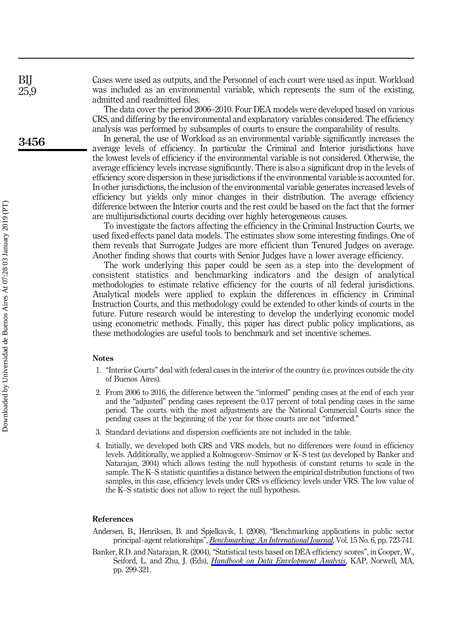Cases were used as outputs, and the Personnel of each court were used as input. Workload was included as an environmental variable, which represents the sum of the existing, admitted and readmitted files.

The data cover the period 2006–2010. Four DEA models were developed based on various CRS, and differing by the environmental and explanatory variables considered. The efficiency analysis was performed by subsamples of courts to ensure the comparability of results.

In general, the use of Workload as an environmental variable significantly increases the average levels of efficiency. In particular the Criminal and Interior jurisdictions have the lowest levels of efficiency if the environmental variable is not considered. Otherwise, the average efficiency levels increase significantly. There is also a significant drop in the levels of efficiency score dispersion in these jurisdictions if the environmental variable is accounted for. In other jurisdictions, the inclusion of the environmental variable generates increased levels of efficiency but yields only minor changes in their distribution. The average efficiency difference between the Interior courts and the rest could be based on the fact that the former are multijurisdictional courts deciding over highly heterogeneous causes.

To investigate the factors affecting the efficiency in the Criminal Instruction Courts, we used fixed-effects panel data models. The estimates show some interesting findings. One of them reveals that Surrogate Judges are more efficient than Tenured Judges on average. Another finding shows that courts with Senior Judges have a lower average efficiency.

The work underlying this paper could be seen as a step into the development of consistent statistics and benchmarking indicators and the design of analytical methodologies to estimate relative efficiency for the courts of all federal jurisdictions. Analytical models were applied to explain the differences in efficiency in Criminal Instruction Courts, and this methodology could be extended to other kinds of courts in the future. Future research would be interesting to develop the underlying economic model using econometric methods. Finally, this paper has direct public policy implications, as these methodologies are useful tools to benchmark and set incentive schemes.

#### Notes

- 1. "Interior Courts" deal with federal cases in the interior of the country (i.e. provinces outside the city of Buenos Aires).
- 2. From 2006 to 2016, the difference between the "informed" pending cases at the end of each year and the "adjusted" pending cases represent the 0.17 percent of total pending cases in the same period. The courts with the most adjustments are the National Commercial Courts since the pending cases at the beginning of the year for those courts are not "informed."
- 3. Standard deviations and dispersion coefficients are not included in the table.
- 4. Initially, we developed both CRS and VRS models, but no differences were found in efficiency levels. Additionally, we applied a Kolmogorov–Smirnov or K–S test (as developed by Banker and Natarajan, 2004) which allows testing the null hypothesis of constant returns to scale in the sample. The K–S statistic quantifies a distance between the empirical distribution functions of two samples, in this case, efficiency levels under CRS vs efficiency levels under VRS. The low value of the K–S statistic does not allow to reject the null hypothesis.

#### References

- Andersen, B., Henriksen, B. and Spjelkavik, I. (2008), "Benchmarking applications in public sector principal–agent relationships", [Benchmarking: An International Journal](https://www.emeraldinsight.com/action/showLinks?doi=10.1108%2FBIJ-09-2017-0244&system=10.1108%2F14635770810915913&citationId=p_1), Vol. 15 No. 6, pp. 723-741.
- Banker, R.D. and Natarajan, R. (2004), "Statistical tests based on DEA efficiency scores", in Cooper, W., Seiford, L. and Zhu, J. (Eds), *[Handbook on Data Envelopment Analysis](https://www.emeraldinsight.com/action/showLinks?doi=10.1108%2FBIJ-09-2017-0244&crossref=10.1007%2F1-4020-7798-X_11&citationId=p_2)*, KAP, Norwell, MA, pp. 299-321.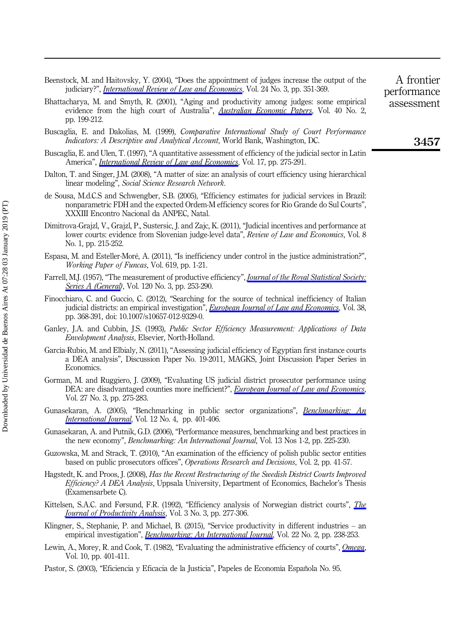- Beenstock, M. and Haitovsky, Y. (2004), "Does the appointment of judges increase the output of the judiciary?", *[International Review of Law and Economics](https://www.emeraldinsight.com/action/showLinks?doi=10.1108%2FBIJ-09-2017-0244&crossref=10.1016%2Fj.irle.2004.10.006&isi=000226621700004&citationId=p_3)*, Vol. 24 No. 3, pp. 351-369.
- Bhattacharya, M. and Smyth, R. (2001), "Aging and productivity among judges: some empirical evidence from the high court of Australia", *[Australian Economic Papers](https://www.emeraldinsight.com/action/showLinks?doi=10.1108%2FBIJ-09-2017-0244&crossref=10.1111%2F1467-8454.00122&citationId=p_4)*, Vol. 40 No. 2, pp. 199-212.
- Buscaglia, E. and Dakolias, M. (1999), Comparative International Study of Court Performance Indicators: A Descriptive and Analytical Account, World Bank, Washington, DC.
- Buscaglia, E. and Ulen, T. (1997), "A quantitative assessment of efficiency of the judicial sector in Latin America", *[International Review of Law and Economics](https://www.emeraldinsight.com/action/showLinks?doi=10.1108%2FBIJ-09-2017-0244&crossref=10.1016%2FS0144-8188%2897%2900007-0&isi=A1997XD23000009&citationId=p_6)*, Vol. 17, pp. 275-291.
- Dalton, T. and Singer, J.M. (2008), "A matter of size: an analysis of court efficiency using hierarchical linear modeling", Social Science Research Network.
- de Sousa, M.d.C.S and Schwengber, S.B. (2005), "Efficiency estimates for judicial services in Brazil: nonparametric FDH and the expected Ordem-M efficiency scores for Rio Grande do Sul Courts", XXXIII Encontro Nacional da ANPEC, Natal.
- Dimitrova-Grajzl, V., Grajzl, P., Sustersic, J. and Zajc, K. (2011), "Judicial incentives and performance at lower courts: evidence from Slovenian judge-level data", Review of Law and Economics, Vol. 8 No. 1, pp. 215-252.
- Espasa, M. and Esteller-Moré, A. (2011), "Is inefficiency under control in the justice administration?", Working Paper of Funcas, Vol. 619, pp. 1-21.
- Farrell, M.J. (1957), "The measurement of productive efficiency", *Journal of the Royal Statistical Society*: [Series A \(General\)](https://www.emeraldinsight.com/action/showLinks?doi=10.1108%2FBIJ-09-2017-0244&crossref=10.2307%2F2343100&isi=A1957XF53400001&citationId=p_11), Vol. 120 No. 3, pp. 253-290.
- Finocchiaro, C. and Guccio, C. (2012), "Searching for the source of technical inefficiency of Italian judicial districts: an empirical investigation", *[European Journal of Law and Economics](https://www.emeraldinsight.com/action/showLinks?doi=10.1108%2FBIJ-09-2017-0244&isi=000344803800001&citationId=p_12)*, Vol. 38, pp. 368-391, doi: 10.1007/s10657-012-9329-0.
- Ganley, J.A. and Cubbin, J.S. (1993), Public Sector Efficiency Measurement: Applications of Data Envelopment Analysis, Elsevier, North-Holland.
- García-Rubio, M. and Elbialy, N. (2011), "Assessing judicial efficiency of Egyptian first instance courts a DEA analysis", Discussion Paper No. 19-2011, MAGKS, Joint Discussion Paper Series in Economics.
- Gorman, M. and Ruggiero, J. (2009), "Evaluating US judicial district prosecutor performance using DEA: are disadvantaged counties more inefficient?", *[European Journal of Law and Economics](https://www.emeraldinsight.com/action/showLinks?doi=10.1108%2FBIJ-09-2017-0244&crossref=10.1007%2Fs10657-008-9093-3&isi=000264810200004&citationId=p_15)*, Vol. 27 No. 3, pp. 275-283.
- Gunasekaran, A. (2005), "Benchmarking in public sector organizations", *[Benchmarking: An](https://www.emeraldinsight.com/action/showLinks?doi=10.1108%2FBIJ-09-2017-0244&system=10.1108%2Fbij.2005.13112daa.001&citationId=p_16)* [International Journal](https://www.emeraldinsight.com/action/showLinks?doi=10.1108%2FBIJ-09-2017-0244&system=10.1108%2Fbij.2005.13112daa.001&citationId=p_16), Vol. 12 No. 4, pp. 401-406.
- Gunasekaran, A. and Putnik, G.D. (2006), "Performance measures, benchmarking and best practices in the new economy", Benchmarking: An International Journal, Vol. 13 Nos 1-2, pp. 225-230.
- Guzowska, M. and Strack, T. (2010), "An examination of the efficiency of polish public sector entities based on public prosecutors offices", Operations Research and Decisions, Vol. 2, pp. 41-57.
- Hagstedt, K. and Proos, J. (2008), Has the Recent Restructuring of the Swedish District Courts Improved Efficiency? A DEA Analysis, Uppsala University, Department of Economics, Bachelor's Thesis (Examensarbete C).
- Kittelsen, S.A.C. and Førsund, F.R. (1992), "Efficiency analysis of Norwegian district courts", [The](https://www.emeraldinsight.com/action/showLinks?doi=10.1108%2FBIJ-09-2017-0244&crossref=10.1007%2FBF00158357&citationId=p_20) **[Journal of Productivity Analysis](https://www.emeraldinsight.com/action/showLinks?doi=10.1108%2FBIJ-09-2017-0244&crossref=10.1007%2FBF00158357&citationId=p_20)**, Vol. 3 No. 3, pp. 277-306.
- Klingner, S., Stephanie, P. and Michael, B. (2015), "Service productivity in different industries an empirical investigation", [Benchmarking: An International Journal](https://www.emeraldinsight.com/action/showLinks?doi=10.1108%2FBIJ-09-2017-0244&system=10.1108%2FBIJ-04-2013-0047&citationId=p_21), Vol. 22 No. 2, pp. 238-253.
- Lewin, A., Morey, R. and Cook, T. (1982), "Evaluating the administrative efficiency of courts", [Omega](https://www.emeraldinsight.com/action/showLinks?doi=10.1108%2FBIJ-09-2017-0244&crossref=10.1016%2F0305-0483%2882%2990019-6&isi=A1982PC89800008&citationId=p_22), Vol. 10, pp. 401-411.
- Pastor, S. (2003), "Eficiencia y Eficacia de la Justicia", Papeles de Economía Española No. 95.

A frontier performance assessment